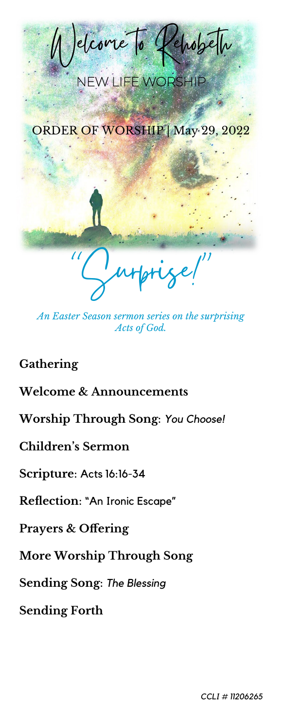

*An Easter Season sermon series on the surprising Acts of God.*

# **Gathering**

## **Welcome & Announcements**

**Worship Through Song**: *You Choose!*

# **Children's Sermon**

#### **Scripture**: Acts 16:16-34

#### **Reflection**: "An Ironic Escape"

### **Prayers & Offering**

# **More Worship Through Song**

### **Sending Song**: *The Blessing*

### **Sending Forth**